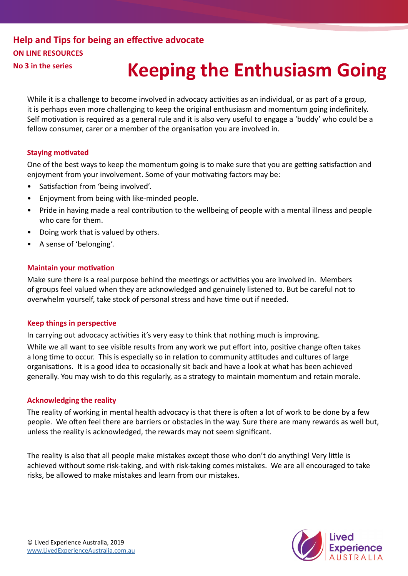# **Help and Tips for being an effective advocate ON LINE RESOURCES**

# **No 3 in the series Keeping the Enthusiasm Going**

While it is a challenge to become involved in advocacy activities as an individual, or as part of a group, it is perhaps even more challenging to keep the original enthusiasm and momentum going indefinitely. Self motivation is required as a general rule and it is also very useful to engage a 'buddy' who could be a fellow consumer, carer or a member of the organisation you are involved in.

### **Staying motivated**

One of the best ways to keep the momentum going is to make sure that you are getting satisfaction and enjoyment from your involvement. Some of your motivating factors may be:

- Satisfaction from 'being involved'.
- Enjoyment from being with like-minded people.
- Pride in having made a real contribution to the wellbeing of people with a mental illness and people who care for them.
- Doing work that is valued by others.
- A sense of 'belonging'.

### **Maintain your motivation**

Make sure there is a real purpose behind the meetings or activities you are involved in. Members of groups feel valued when they are acknowledged and genuinely listened to. But be careful not to overwhelm yourself, take stock of personal stress and have time out if needed.

#### **Keep things in perspective**

In carrying out advocacy activities it's very easy to think that nothing much is improving.

While we all want to see visible results from any work we put effort into, positive change often takes a long time to occur. This is especially so in relation to community attitudes and cultures of large organisations. It is a good idea to occasionally sit back and have a look at what has been achieved generally. You may wish to do this regularly, as a strategy to maintain momentum and retain morale.

## **Acknowledging the reality**

The reality of working in mental health advocacy is that there is often a lot of work to be done by a few people. We often feel there are barriers or obstacles in the way. Sure there are many rewards as well but, unless the reality is acknowledged, the rewards may not seem significant.

The reality is also that all people make mistakes except those who don't do anything! Very little is achieved without some risk-taking, and with risk-taking comes mistakes. We are all encouraged to take risks, be allowed to make mistakes and learn from our mistakes.